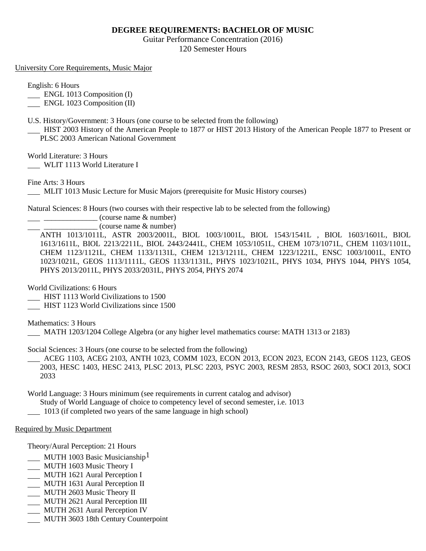## **DEGREE REQUIREMENTS: BACHELOR OF MUSIC**

Guitar Performance Concentration (2016) 120 Semester Hours

University Core Requirements, Music Major

English: 6 Hours

**ENGL 1013 Composition (I)** 

ENGL 1023 Composition (II)

U.S. History/Government: 3 Hours (one course to be selected from the following)

 HIST 2003 History of the American People to 1877 or HIST 2013 History of the American People 1877 to Present or PLSC 2003 American National Government

World Literature: 3 Hours

WLIT 1113 World Literature I

Fine Arts: 3 Hours

MLIT 1013 Music Lecture for Music Majors (prerequisite for Music History courses)

Natural Sciences: 8 Hours (two courses with their respective lab to be selected from the following)

 $\frac{1}{2}$   $\frac{1}{2}$   $\frac{1}{2}$   $\frac{1}{2}$   $\frac{1}{2}$   $\frac{1}{2}$   $\frac{1}{2}$   $\frac{1}{2}$   $\frac{1}{2}$   $\frac{1}{2}$   $\frac{1}{2}$   $\frac{1}{2}$   $\frac{1}{2}$   $\frac{1}{2}$   $\frac{1}{2}$   $\frac{1}{2}$   $\frac{1}{2}$   $\frac{1}{2}$   $\frac{1}{2}$   $\frac{1}{2}$   $\frac{1}{2}$   $\frac{1}{2}$ 

\_\_\_\_\_\_\_\_\_\_\_\_\_\_ (course name & number)

ANTH 1013/1011L, ASTR 2003/2001L, BIOL 1003/1001L, BIOL 1543/1541L , BIOL 1603/1601L, BIOL 1613/1611L, BIOL 2213/2211L, BIOL 2443/2441L, CHEM 1053/1051L, CHEM 1073/1071L, CHEM 1103/1101L, CHEM 1123/1121L, CHEM 1133/1131L, CHEM 1213/1211L, CHEM 1223/1221L, ENSC 1003/1001L, ENTO 1023/1021L, GEOS 1113/1111L, GEOS 1133/1131L, PHYS 1023/1021L, PHYS 1034, PHYS 1044, PHYS 1054, PHYS 2013/2011L, PHYS 2033/2031L, PHYS 2054, PHYS 2074

World Civilizations: 6 Hours

HIST 1113 World Civilizations to 1500

HIST 1123 World Civilizations since 1500

Mathematics: 3 Hours

MATH 1203/1204 College Algebra (or any higher level mathematics course: MATH 1313 or 2183)

Social Sciences: 3 Hours (one course to be selected from the following)

 ACEG 1103, ACEG 2103, ANTH 1023, COMM 1023, ECON 2013, ECON 2023, ECON 2143, GEOS 1123, GEOS 2003, HESC 1403, HESC 2413, PLSC 2013, PLSC 2203, PSYC 2003, RESM 2853, RSOC 2603, SOCI 2013, SOCI 2033

World Language: 3 Hours minimum (see requirements in current catalog and advisor)

Study of World Language of choice to competency level of second semester, i.e. 1013

1013 (if completed two years of the same language in high school)

## Required by Music Department

Theory/Aural Perception: 21 Hours

- MUTH 1003 Basic Musicianship<sup>1</sup>
- MUTH 1603 Music Theory I
- MUTH 1621 Aural Perception I
- MUTH 1631 Aural Perception II
- MUTH 2603 Music Theory II
- MUTH 2621 Aural Perception III
- MUTH 2631 Aural Perception IV
- MUTH 3603 18th Century Counterpoint